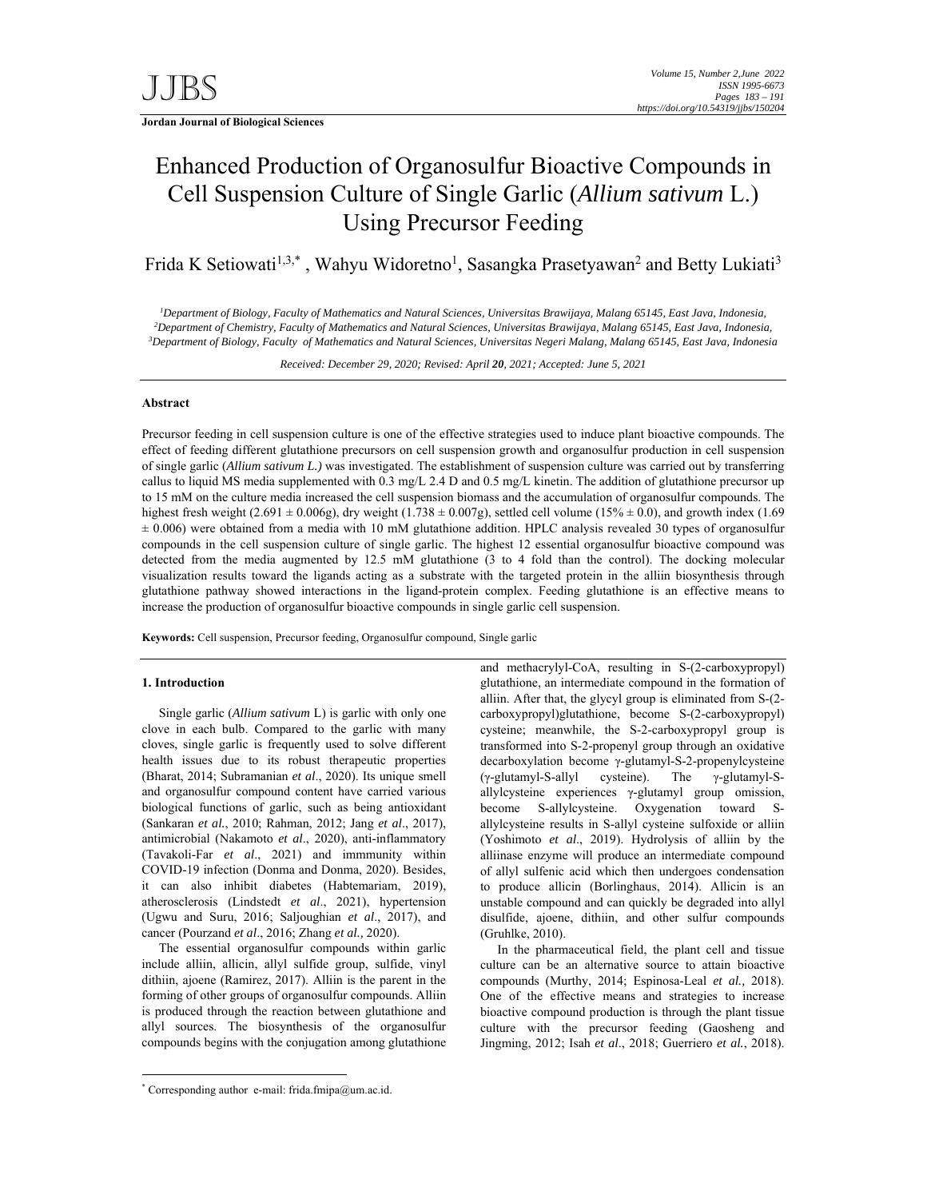# Enhanced Production of Organosulfur Bioactive Compounds in Cell Suspension Culture of Single Garlic (*Allium sativum* L.) Using Precursor Feeding

Frida K Setiowati<sup>1,3,\*</sup>, Wahyu Widoretno<sup>1</sup>, Sasangka Prasetyawan<sup>2</sup> and Betty Lukiati<sup>3</sup>

*1 Department of Biology, Faculty of Mathematics and Natural Sciences, Universitas Brawijaya, Malang 65145, East Java, Indonesia,*  <sup>2</sup> Department of Chemistry, Faculty of Mathematics and Natural Sciences, Universitas Brawijaya, Malang 65145, East Java, Indonesia, <sup>3</sup><br><sup>3</sup> Department of Biology, Eagylty of Mathematics and Natural Sciences, Universitas N *Department of Biology, Faculty of Mathematics and Natural Sciences, Universitas Negeri Malang, Malang 65145, East Java, Indonesia* 

*Received: December 29, 2020; Revised: April 20, 2021; Accepted: June 5, 2021*

# **Abstract**

Precursor feeding in cell suspension culture is one of the effective strategies used to induce plant bioactive compounds. The effect of feeding different glutathione precursors on cell suspension growth and organosulfur production in cell suspension of single garlic (*Allium sativum L.)* was investigated. The establishment of suspension culture was carried out by transferring callus to liquid MS media supplemented with 0.3 mg/L 2.4 D and 0.5 mg/L kinetin. The addition of glutathione precursor up to 15 mM on the culture media increased the cell suspension biomass and the accumulation of organosulfur compounds. The highest fresh weight (2.691  $\pm$  0.006g), dry weight (1.738  $\pm$  0.007g), settled cell volume (15%  $\pm$  0.0), and growth index (1.69 ± 0.006) were obtained from a media with 10 mM glutathione addition. HPLC analysis revealed 30 types of organosulfur compounds in the cell suspension culture of single garlic. The highest 12 essential organosulfur bioactive compound was detected from the media augmented by 12.5 mM glutathione (3 to 4 fold than the control). The docking molecular visualization results toward the ligands acting as a substrate with the targeted protein in the alliin biosynthesis through glutathione pathway showed interactions in the ligand-protein complex. Feeding glutathione is an effective means to increase the production of organosulfur bioactive compounds in single garlic cell suspension.

**Keywords:** Cell suspension, Precursor feeding, Organosulfur compound, Single garlic

## **1. Introduction**

-

Single garlic (*Allium sativum* L) is garlic with only one clove in each bulb. Compared to the garlic with many cloves, single garlic is frequently used to solve different health issues due to its robust therapeutic properties (Bharat, 2014; Subramanian *et al*., 2020). Its unique smell and organosulfur compound content have carried various biological functions of garlic, such as being antioxidant (Sankaran *et al.*, 2010; Rahman, 2012; Jang *et al*., 2017), antimicrobial (Nakamoto *et al*., 2020), anti-inflammatory (Tavakoli-Far *et al*., 2021) and immmunity within COVID-19 infection (Donma and Donma, 2020). Besides, it can also inhibit diabetes (Habtemariam, 2019), atherosclerosis (Lindstedt *et al*., 2021), hypertension (Ugwu and Suru, 2016; Saljoughian *et al*., 2017), and cancer (Pourzand *et al*., 2016; Zhang *et al.,* 2020).

The essential organosulfur compounds within garlic include alliin, allicin, allyl sulfide group, sulfide, vinyl dithiin, ajoene (Ramirez, 2017). Alliin is the parent in the forming of other groups of organosulfur compounds. Alliin is produced through the reaction between glutathione and allyl sources. The biosynthesis of the organosulfur compounds begins with the conjugation among glutathione

\* Corresponding author e-mail: frida.fmipa@um.ac.id.

and methacrylyl-CoA, resulting in S-(2-carboxypropyl) glutathione, an intermediate compound in the formation of alliin. After that, the glycyl group is eliminated from S-(2 carboxypropyl)glutathione, become S-(2-carboxypropyl) cysteine; meanwhile, the S-2-carboxypropyl group is transformed into S-2-propenyl group through an oxidative decarboxylation become γ-glutamyl-S-2-propenylcysteine (γ-glutamyl-S-allyl cysteine). The γ-glutamyl-Sallylcysteine experiences γ-glutamyl group omission, become S-allylcysteine. Oxygenation toward Sallylcysteine results in S-allyl cysteine sulfoxide or alliin (Yoshimoto *et al*., 2019). Hydrolysis of alliin by the alliinase enzyme will produce an intermediate compound of allyl sulfenic acid which then undergoes condensation to produce allicin (Borlinghaus, 2014). Allicin is an unstable compound and can quickly be degraded into allyl disulfide, ajoene, dithiin, and other sulfur compounds (Gruhlke, 2010).

In the pharmaceutical field, the plant cell and tissue culture can be an alternative source to attain bioactive compounds (Murthy, 2014; Espinosa-Leal *et al.,* 2018). One of the effective means and strategies to increase bioactive compound production is through the plant tissue culture with the precursor feeding (Gaosheng and Jingming, 2012; Isah *et al*., 2018; Guerriero *et al.*, 2018).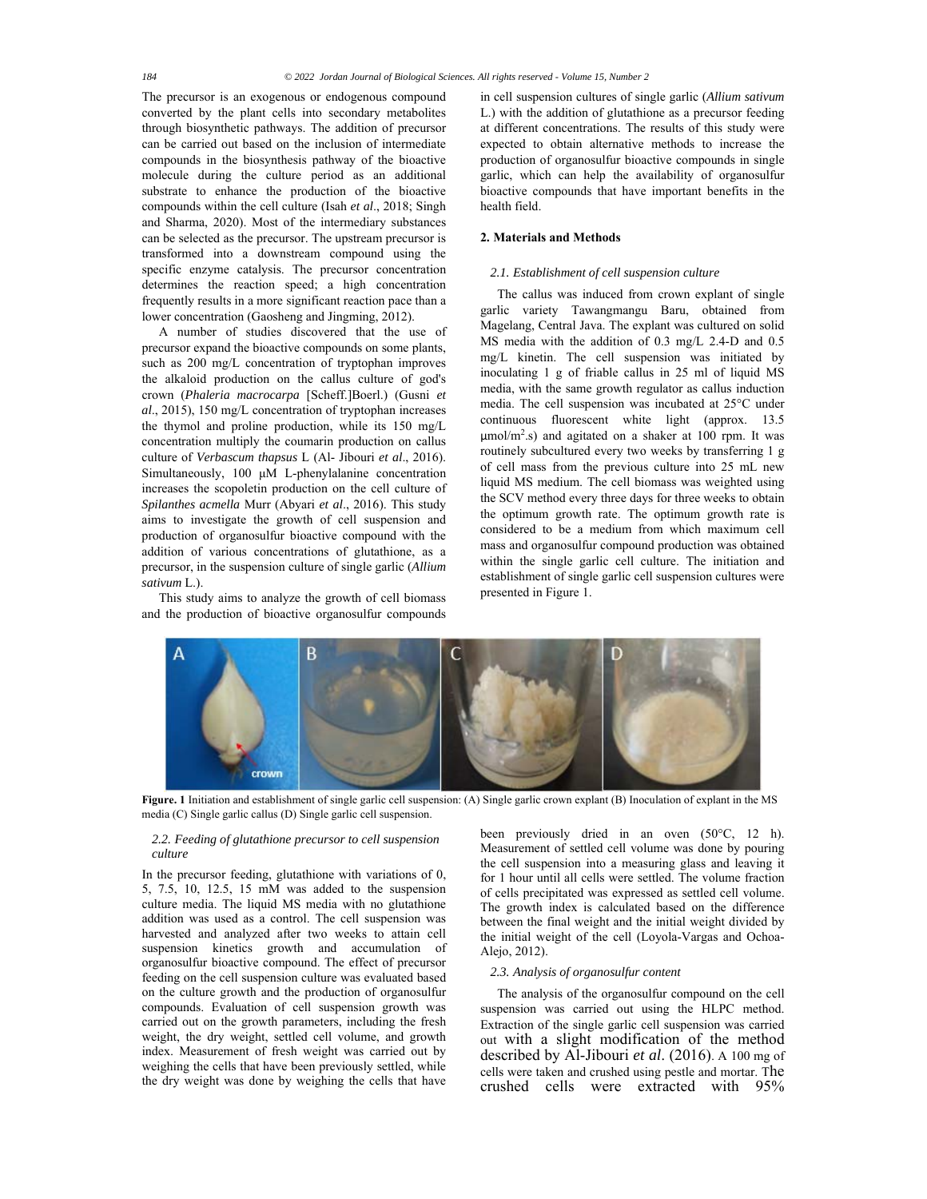The precursor is an exogenous or endogenous compound converted by the plant cells into secondary metabolites through biosynthetic pathways. The addition of precursor can be carried out based on the inclusion of intermediate compounds in the biosynthesis pathway of the bioactive molecule during the culture period as an additional substrate to enhance the production of the bioactive compounds within the cell culture (Isah *et al*., 2018; Singh and Sharma, 2020). Most of the intermediary substances can be selected as the precursor. The upstream precursor is transformed into a downstream compound using the specific enzyme catalysis. The precursor concentration determines the reaction speed; a high concentration frequently results in a more significant reaction pace than a lower concentration (Gaosheng and Jingming, 2012).

A number of studies discovered that the use of precursor expand the bioactive compounds on some plants, such as 200 mg/L concentration of tryptophan improves the alkaloid production on the callus culture of god's crown (*Phaleria macrocarpa* [Scheff.]Boerl.) (Gusni *et al*., 2015), 150 mg/L concentration of tryptophan increases the thymol and proline production, while its 150 mg/L concentration multiply the coumarin production on callus culture of *Verbascum thapsus* L (Al- Jibouri *et al*., 2016). Simultaneously, 100 μM L-phenylalanine concentration increases the scopoletin production on the cell culture of *Spilanthes acmella* Murr (Abyari *et al*., 2016). This study aims to investigate the growth of cell suspension and production of organosulfur bioactive compound with the addition of various concentrations of glutathione, as a precursor, in the suspension culture of single garlic (*Allium sativum* L.).

This study aims to analyze the growth of cell biomass and the production of bioactive organosulfur compounds

in cell suspension cultures of single garlic (*Allium sativum* L.) with the addition of glutathione as a precursor feeding at different concentrations. The results of this study were expected to obtain alternative methods to increase the production of organosulfur bioactive compounds in single garlic, which can help the availability of organosulfur bioactive compounds that have important benefits in the health field.

## **2. Materials and Methods**

## *2.1. Establishment of cell suspension culture*

The callus was induced from crown explant of single garlic variety Tawangmangu Baru, obtained from Magelang, Central Java. The explant was cultured on solid MS media with the addition of 0.3 mg/L 2.4-D and 0.5 mg/L kinetin. The cell suspension was initiated by inoculating 1 g of friable callus in 25 ml of liquid MS media, with the same growth regulator as callus induction media. The cell suspension was incubated at 25°C under continuous fluorescent white light (approx. 13.5  $\mu$ mol/m<sup>2</sup>.s) and agitated on a shaker at 100 rpm. It was routinely subcultured every two weeks by transferring 1 g of cell mass from the previous culture into 25 mL new liquid MS medium. The cell biomass was weighted using the SCV method every three days for three weeks to obtain the optimum growth rate. The optimum growth rate is considered to be a medium from which maximum cell mass and organosulfur compound production was obtained within the single garlic cell culture. The initiation and establishment of single garlic cell suspension cultures were presented in Figure 1.



**Figure. 1** Initiation and establishment of single garlic cell suspension: (A) Single garlic crown explant (B) Inoculation of explant in the MS media (C) Single garlic callus (D) Single garlic cell suspension.

# *2.2. Feeding of glutathione precursor to cell suspension culture*

In the precursor feeding, glutathione with variations of 0, 5, 7.5, 10, 12.5, 15 mM was added to the suspension culture media. The liquid MS media with no glutathione addition was used as a control. The cell suspension was harvested and analyzed after two weeks to attain cell suspension kinetics growth and accumulation of organosulfur bioactive compound. The effect of precursor feeding on the cell suspension culture was evaluated based on the culture growth and the production of organosulfur compounds. Evaluation of cell suspension growth was carried out on the growth parameters, including the fresh weight, the dry weight, settled cell volume, and growth index. Measurement of fresh weight was carried out by weighing the cells that have been previously settled, while the dry weight was done by weighing the cells that have

been previously dried in an oven (50°C, 12 h). Measurement of settled cell volume was done by pouring the cell suspension into a measuring glass and leaving it for 1 hour until all cells were settled. The volume fraction of cells precipitated was expressed as settled cell volume. The growth index is calculated based on the difference between the final weight and the initial weight divided by the initial weight of the cell (Loyola-Vargas and Ochoa-Alejo, 2012).

## *2.3. Analysis of organosulfur content*

The analysis of the organosulfur compound on the cell suspension was carried out using the HLPC method. Extraction of the single garlic cell suspension was carried out with a slight modification of the method described by Al-Jibouri *et al*. (2016). A 100 mg of cells were taken and crushed using pestle and mortar. The crushed cells were extracted with 95%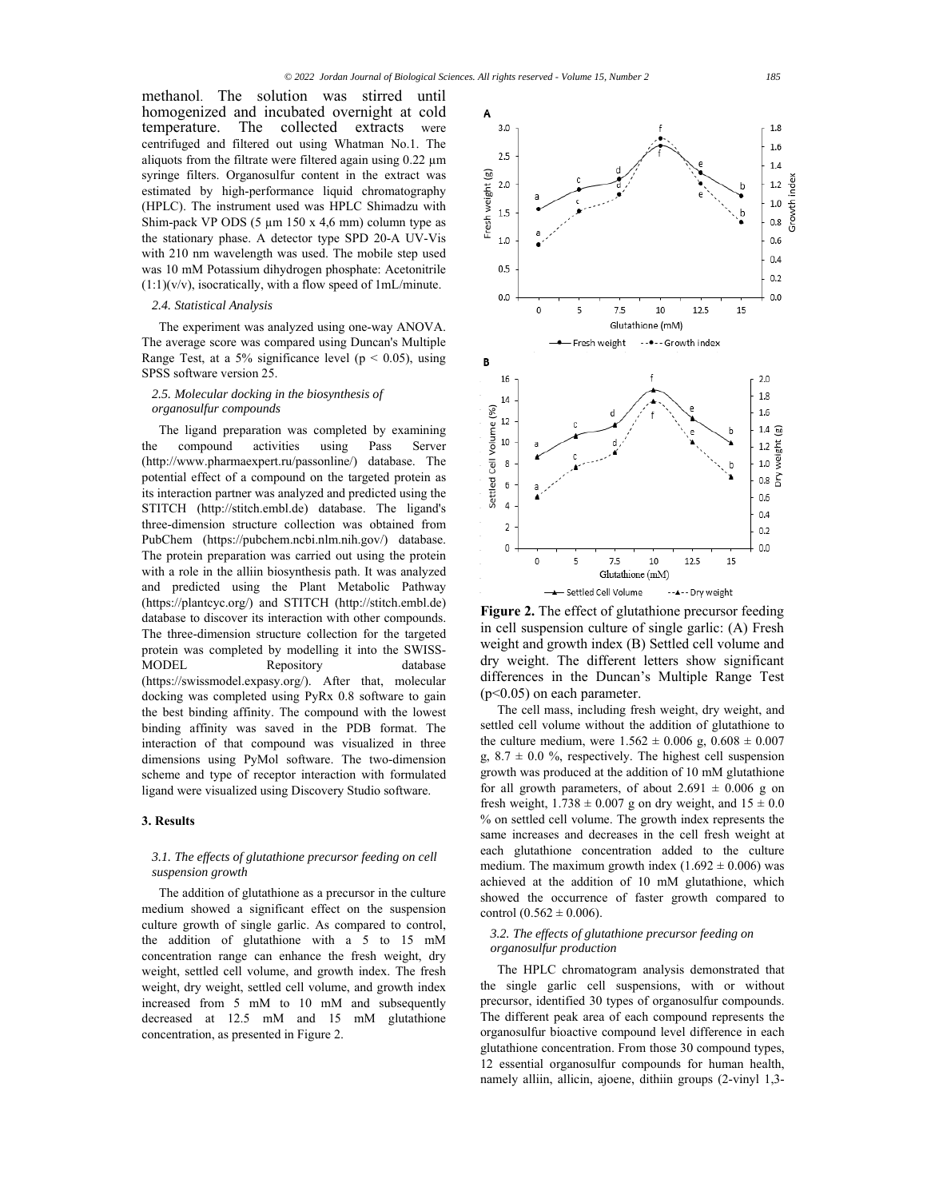methanol. The solution was stirred until homogenized and incubated overnight at cold temperature. The collected extracts were centrifuged and filtered out using Whatman No.1. The aliquots from the filtrate were filtered again using 0.22 µm syringe filters. Organosulfur content in the extract was estimated by high-performance liquid chromatography (HPLC). The instrument used was HPLC Shimadzu with Shim-pack VP ODS  $(5 \mu m 150 \times 4, 6 \mu m)$  column type as the stationary phase. A detector type SPD 20-A UV-Vis with 210 nm wavelength was used. The mobile step used was 10 mM Potassium dihydrogen phosphate: Acetonitrile  $(1:1)(v/v)$ , isocratically, with a flow speed of 1mL/minute.

# *2.4. Statistical Analysis*

The experiment was analyzed using one-way ANOVA. The average score was compared using Duncan's Multiple Range Test, at a 5% significance level ( $p < 0.05$ ), using SPSS software version 25.

# *2.5. Molecular docking in the biosynthesis of organosulfur compounds*

The ligand preparation was completed by examining the compound activities using Pass Server (http://www.pharmaexpert.ru/passonline/) database. The potential effect of a compound on the targeted protein as its interaction partner was analyzed and predicted using the STITCH (http://stitch.embl.de) database. The ligand's three-dimension structure collection was obtained from PubChem (https://pubchem.ncbi.nlm.nih.gov/) database. The protein preparation was carried out using the protein with a role in the alliin biosynthesis path. It was analyzed and predicted using the Plant Metabolic Pathway (https://plantcyc.org/) and STITCH (http://stitch.embl.de) database to discover its interaction with other compounds. The three-dimension structure collection for the targeted protein was completed by modelling it into the SWISS-MODEL Repository database (https://swissmodel.expasy.org/). After that, molecular docking was completed using PyRx 0.8 software to gain the best binding affinity. The compound with the lowest binding affinity was saved in the PDB format. The interaction of that compound was visualized in three dimensions using PyMol software. The two-dimension scheme and type of receptor interaction with formulated ligand were visualized using Discovery Studio software.

#### **3. Results**

## *3.1. The effects of glutathione precursor feeding on cell suspension growth*

The addition of glutathione as a precursor in the culture medium showed a significant effect on the suspension culture growth of single garlic. As compared to control, the addition of glutathione with a 5 to 15 mM concentration range can enhance the fresh weight, dry weight, settled cell volume, and growth index. The fresh weight, dry weight, settled cell volume, and growth index increased from 5 mM to 10 mM and subsequently decreased at 12.5 mM and 15 mM glutathione concentration, as presented in Figure 2.



**Figure 2.** The effect of glutathione precursor feeding in cell suspension culture of single garlic: (A) Fresh weight and growth index (B) Settled cell volume and dry weight. The different letters show significant differences in the Duncan's Multiple Range Test (p<0.05) on each parameter.

The cell mass, including fresh weight, dry weight, and settled cell volume without the addition of glutathione to the culture medium, were  $1.562 \pm 0.006$  g,  $0.608 \pm 0.007$ g,  $8.7 \pm 0.0$  %, respectively. The highest cell suspension growth was produced at the addition of 10 mM glutathione for all growth parameters, of about  $2.691 \pm 0.006$  g on fresh weight,  $1.738 \pm 0.007$  g on dry weight, and  $15 \pm 0.0$ % on settled cell volume. The growth index represents the same increases and decreases in the cell fresh weight at each glutathione concentration added to the culture medium. The maximum growth index  $(1.692 \pm 0.006)$  was achieved at the addition of 10 mM glutathione, which showed the occurrence of faster growth compared to control  $(0.562 \pm 0.006)$ .

# *3.2. The effects of glutathione precursor feeding on organosulfur production*

The HPLC chromatogram analysis demonstrated that the single garlic cell suspensions, with or without precursor, identified 30 types of organosulfur compounds. The different peak area of each compound represents the organosulfur bioactive compound level difference in each glutathione concentration. From those 30 compound types, 12 essential organosulfur compounds for human health, namely alliin, allicin, ajoene, dithiin groups (2-vinyl 1,3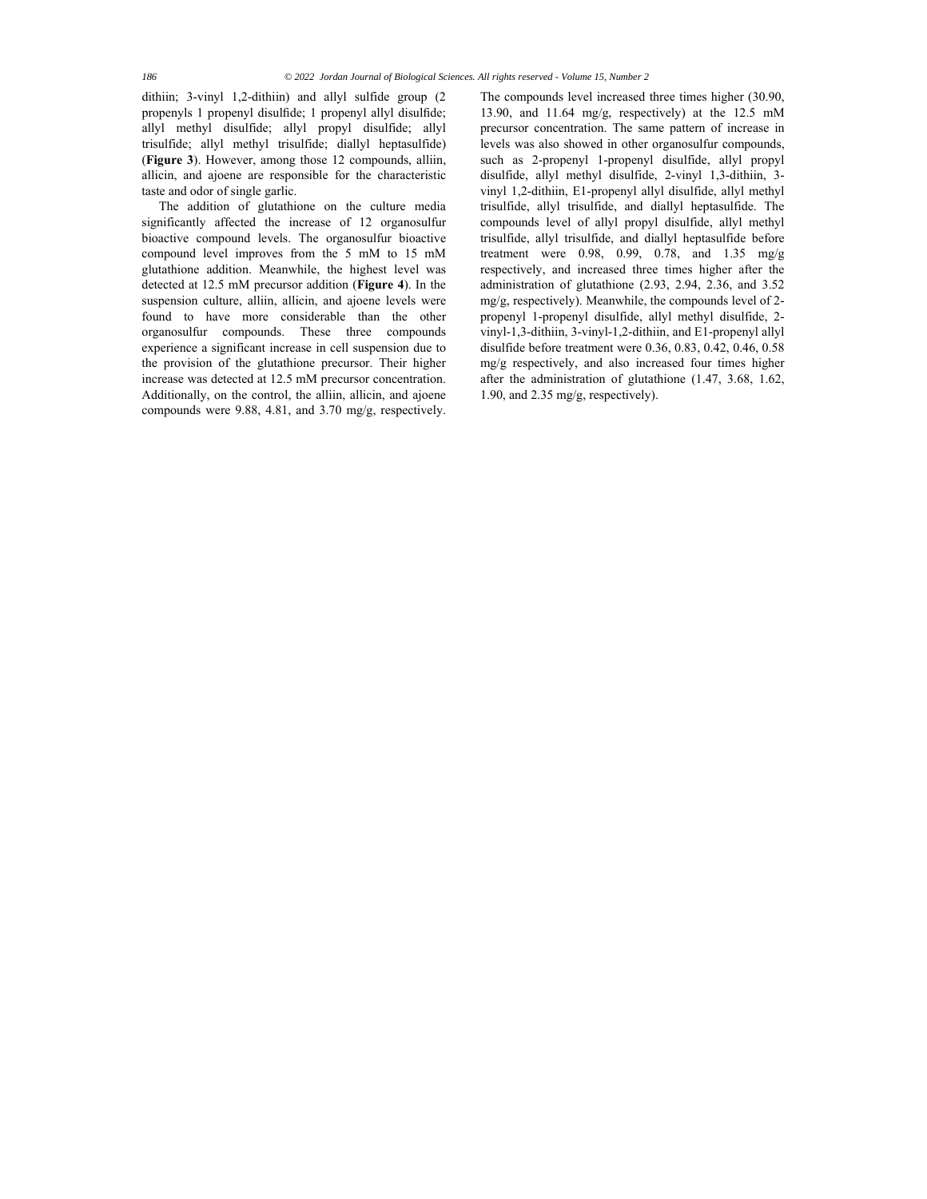dithiin; 3-vinyl 1,2-dithiin) and allyl sulfide group (2 propenyls 1 propenyl disulfide; 1 propenyl allyl disulfide; allyl methyl disulfide; allyl propyl disulfide; allyl trisulfide; allyl methyl trisulfide; diallyl heptasulfide) (**Figure 3**). However, among those 12 compounds, alliin, allicin, and ajoene are responsible for the characteristic taste and odor of single garlic.

The addition of glutathione on the culture media significantly affected the increase of 12 organosulfur bioactive compound levels. The organosulfur bioactive compound level improves from the 5 mM to 15 mM glutathione addition. Meanwhile, the highest level was detected at 12.5 mM precursor addition (**Figure 4**). In the suspension culture, alliin, allicin, and ajoene levels were found to have more considerable than the other organosulfur compounds. These three compounds experience a significant increase in cell suspension due to the provision of the glutathione precursor. Their higher increase was detected at 12.5 mM precursor concentration. Additionally, on the control, the alliin, allicin, and ajoene compounds were 9.88, 4.81, and 3.70 mg/g, respectively.

The compounds level increased three times higher (30.90, 13.90, and 11.64 mg/g, respectively) at the 12.5 mM precursor concentration. The same pattern of increase in levels was also showed in other organosulfur compounds, such as 2-propenyl 1-propenyl disulfide, allyl propyl disulfide, allyl methyl disulfide, 2-vinyl 1,3-dithiin, 3 vinyl 1,2-dithiin, E1-propenyl allyl disulfide, allyl methyl trisulfide, allyl trisulfide, and diallyl heptasulfide. The compounds level of allyl propyl disulfide, allyl methyl trisulfide, allyl trisulfide, and diallyl heptasulfide before treatment were 0.98, 0.99, 0.78, and 1.35 mg/g respectively, and increased three times higher after the administration of glutathione (2.93, 2.94, 2.36, and 3.52 mg/g, respectively). Meanwhile, the compounds level of 2 propenyl 1-propenyl disulfide, allyl methyl disulfide, 2 vinyl-1,3-dithiin, 3-vinyl-1,2-dithiin, and E1-propenyl allyl disulfide before treatment were 0.36, 0.83, 0.42, 0.46, 0.58 mg/g respectively, and also increased four times higher after the administration of glutathione (1.47, 3.68, 1.62, 1.90, and 2.35 mg/g, respectively).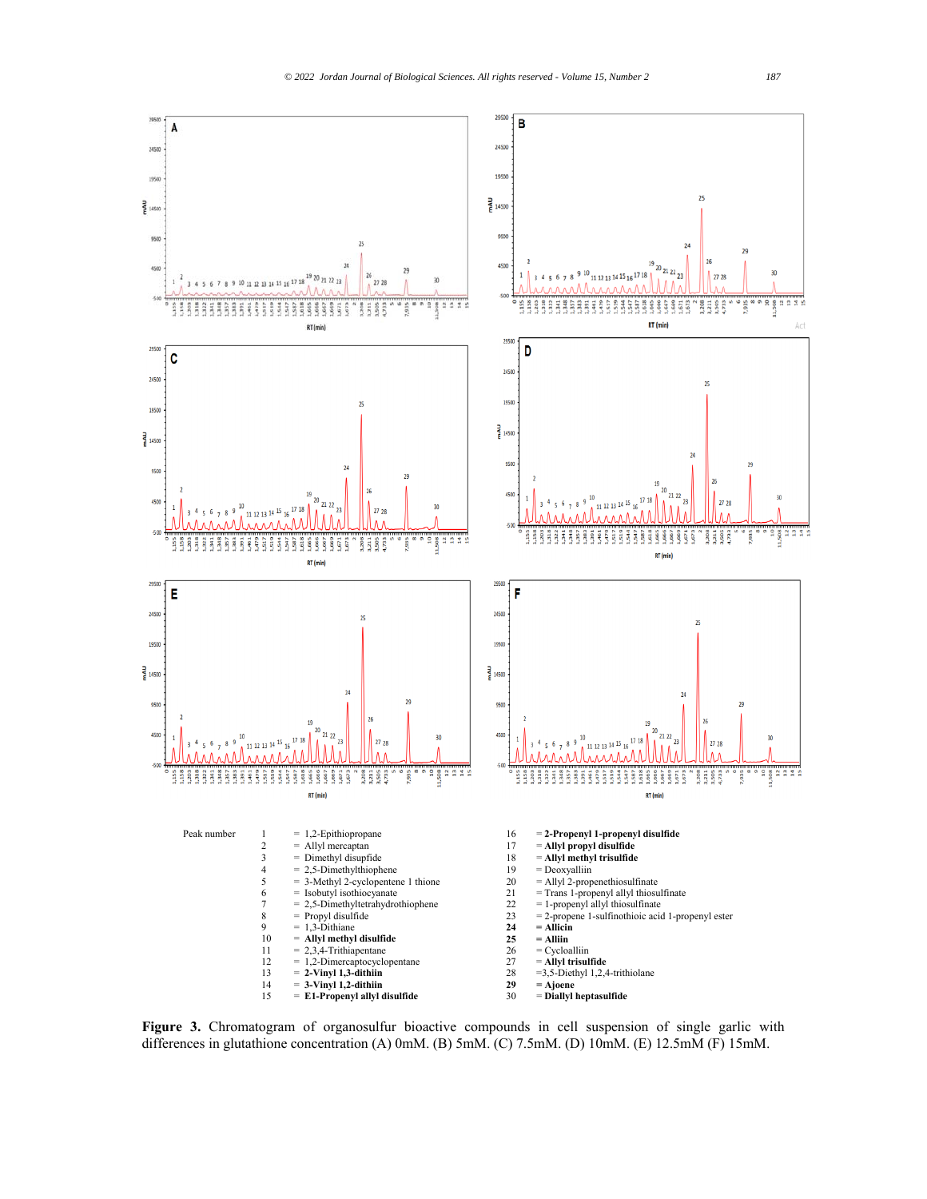

**Figure 3.** Chromatogram of organosulfur bioactive compounds in cell suspension of single garlic with differences in glutathione concentration (A) 0mM. (B) 5mM. (C) 7.5mM. (D) 10mM. (E) 12.5mM (F) 15mM.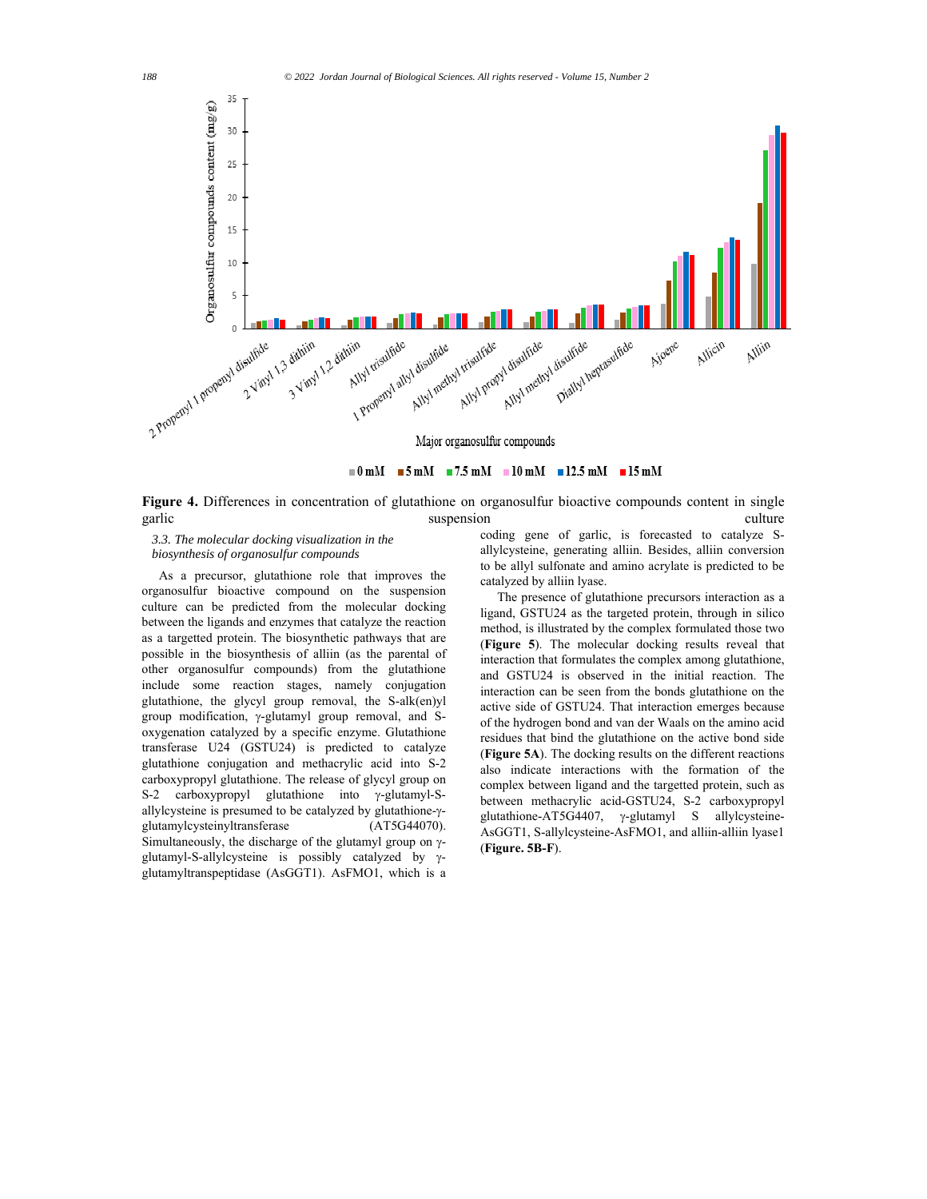

 $\blacksquare$  0 mM  $\blacksquare$  5 mM  $\blacksquare$  7.5 mM  $\blacksquare$  10 mM  $\blacksquare$  12.5 mM  $\blacksquare$  15 mM

**Figure 4.** Differences in concentration of glutathione on organosulfur bioactive compounds content in single garlic suspension culture culture culture culture culture culture culture culture culture culture culture culture

*3.3. The molecular docking visualization in the biosynthesis of organosulfur compounds* 

As a precursor, glutathione role that improves the organosulfur bioactive compound on the suspension culture can be predicted from the molecular docking between the ligands and enzymes that catalyze the reaction as a targetted protein. The biosynthetic pathways that are possible in the biosynthesis of alliin (as the parental of other organosulfur compounds) from the glutathione include some reaction stages, namely conjugation glutathione, the glycyl group removal, the S-alk(en)yl group modification,  $\gamma$ -glutamyl group removal, and Soxygenation catalyzed by a specific enzyme. Glutathione transferase U24 (GSTU24) is predicted to catalyze glutathione conjugation and methacrylic acid into S-2 carboxypropyl glutathione. The release of glycyl group on S-2 carboxypropyl glutathione into  $\gamma$ -glutamyl-Sallylcysteine is presumed to be catalyzed by glutathione- $\gamma$ glutamylcysteinyltransferase (AT5G44070). Simultaneously, the discharge of the glutamyl group on  $\gamma$ glutamyl-S-allylcysteine is possibly catalyzed by  $\gamma$ glutamyltranspeptidase (AsGGT1). AsFMO1, which is a

coding gene of garlic, is forecasted to catalyze Sallylcysteine, generating alliin. Besides, alliin conversion to be allyl sulfonate and amino acrylate is predicted to be catalyzed by alliin lyase.

The presence of glutathione precursors interaction as a ligand, GSTU24 as the targeted protein, through in silico method, is illustrated by the complex formulated those two (**Figure 5**). The molecular docking results reveal that interaction that formulates the complex among glutathione, and GSTU24 is observed in the initial reaction. The interaction can be seen from the bonds glutathione on the active side of GSTU24. That interaction emerges because of the hydrogen bond and van der Waals on the amino acid residues that bind the glutathione on the active bond side (**Figure 5A**). The docking results on the different reactions also indicate interactions with the formation of the complex between ligand and the targetted protein, such as between methacrylic acid-GSTU24, S-2 carboxypropyl glutathione-AT5G4407,  $\gamma$ -glutamyl S allylcysteine-AsGGT1, S-allylcysteine-AsFMO1, and alliin-alliin lyase1 (**Figure. 5B-F**).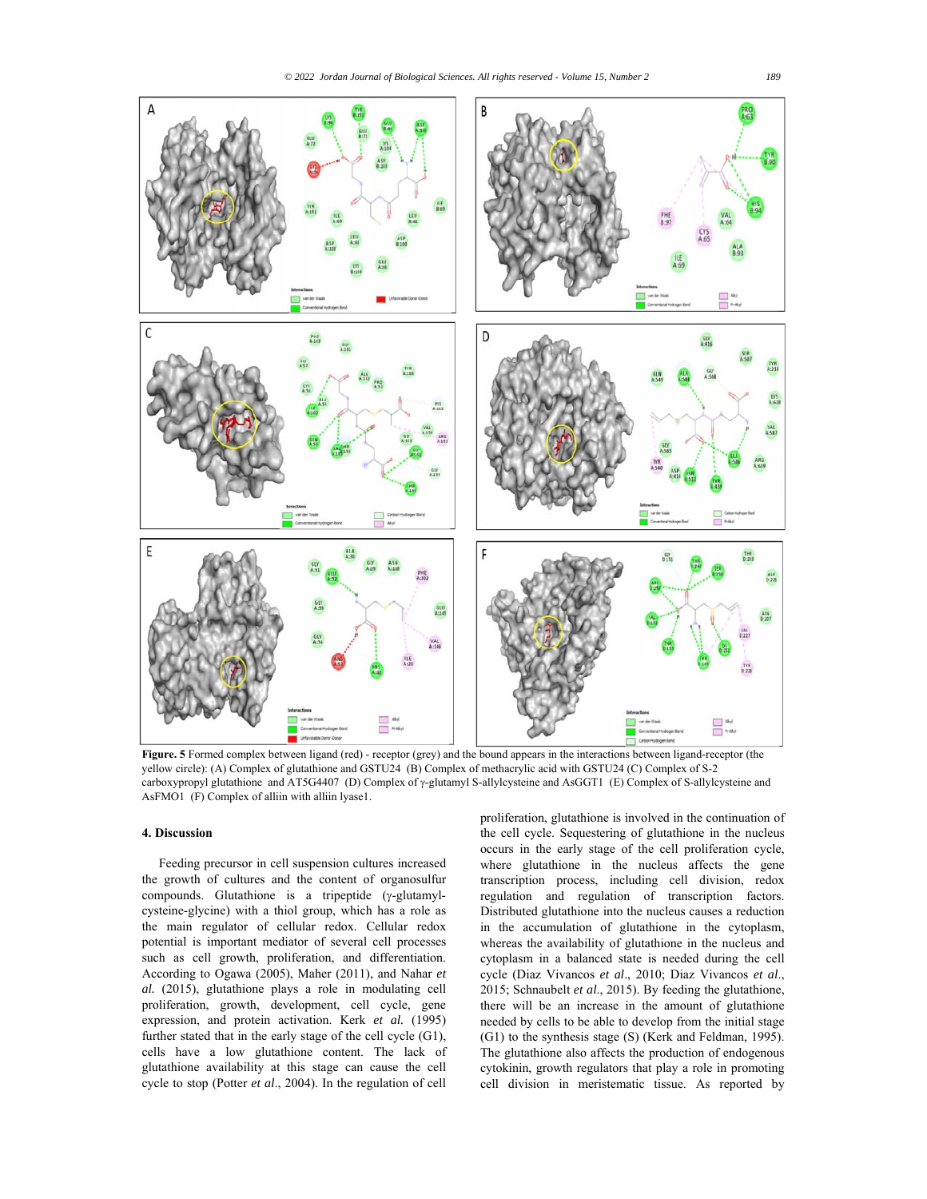

**Figure. 5** Formed complex between ligand (red) - receptor (grey) and the bound appears in the interactions between ligand-receptor (the yellow circle): (A) Complex of glutathione and GSTU24 (B) Complex of methacrylic acid with GSTU24 (C) Complex of S-2 carboxypropyl glutathione and AT5G4407 (D) Complex of  $\gamma$ -glutamyl S-allylcysteine and AsGGT1 (E) Complex of S-allylcysteine and AsFMO1 (F) Complex of alliin with alliin lyase1.

# **4. Discussion**

Feeding precursor in cell suspension cultures increased the growth of cultures and the content of organosulfur compounds. Glutathione is a tripeptide  $(\gamma$ -glutamylcysteine-glycine) with a thiol group, which has a role as the main regulator of cellular redox. Cellular redox potential is important mediator of several cell processes such as cell growth, proliferation, and differentiation. According to Ogawa (2005), Maher (2011), and Nahar *et al.* (2015), glutathione plays a role in modulating cell proliferation, growth, development, cell cycle, gene expression, and protein activation. Kerk *et al.* (1995) further stated that in the early stage of the cell cycle (G1), cells have a low glutathione content. The lack of glutathione availability at this stage can cause the cell cycle to stop (Potter *et al*., 2004). In the regulation of cell

proliferation, glutathione is involved in the continuation of the cell cycle. Sequestering of glutathione in the nucleus occurs in the early stage of the cell proliferation cycle, where glutathione in the nucleus affects the gene transcription process, including cell division, redox regulation and regulation of transcription factors. Distributed glutathione into the nucleus causes a reduction in the accumulation of glutathione in the cytoplasm, whereas the availability of glutathione in the nucleus and cytoplasm in a balanced state is needed during the cell cycle (Diaz Vivancos *et al*., 2010; Diaz Vivancos *et al*., 2015; Schnaubelt *et al*., 2015). By feeding the glutathione, there will be an increase in the amount of glutathione needed by cells to be able to develop from the initial stage (G1) to the synthesis stage (S) (Kerk and Feldman, 1995). The glutathione also affects the production of endogenous cytokinin, growth regulators that play a role in promoting cell division in meristematic tissue. As reported by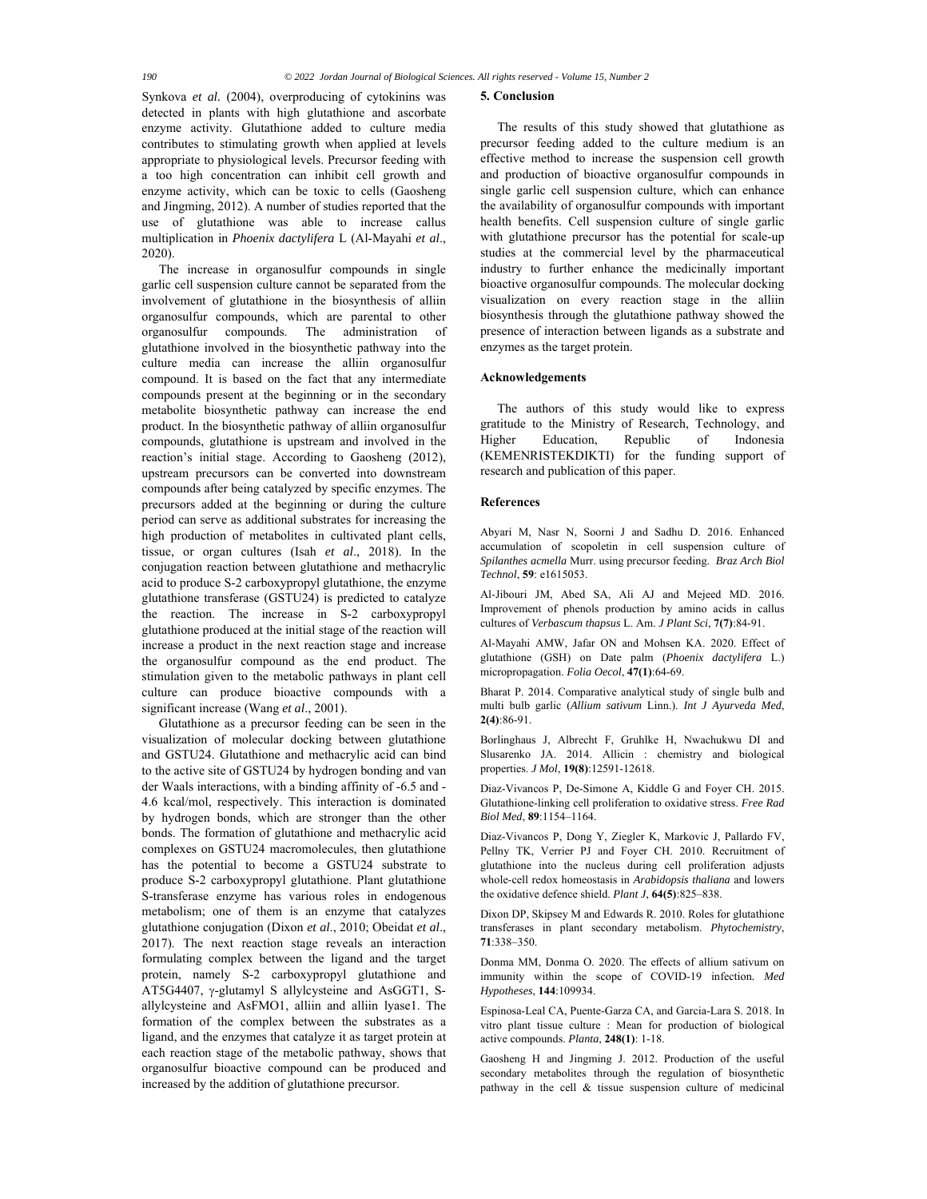Synkova *et al.* (2004), overproducing of cytokinins was detected in plants with high glutathione and ascorbate enzyme activity. Glutathione added to culture media contributes to stimulating growth when applied at levels appropriate to physiological levels. Precursor feeding with a too high concentration can inhibit cell growth and enzyme activity, which can be toxic to cells (Gaosheng and Jingming, 2012). A number of studies reported that the use of glutathione was able to increase callus multiplication in *Phoenix dactylifera* L (Al-Mayahi *et al*., 2020).

The increase in organosulfur compounds in single garlic cell suspension culture cannot be separated from the involvement of glutathione in the biosynthesis of alliin organosulfur compounds, which are parental to other organosulfur compounds. The administration of glutathione involved in the biosynthetic pathway into the culture media can increase the alliin organosulfur compound. It is based on the fact that any intermediate compounds present at the beginning or in the secondary metabolite biosynthetic pathway can increase the end product. In the biosynthetic pathway of alliin organosulfur compounds, glutathione is upstream and involved in the reaction's initial stage. According to Gaosheng (2012), upstream precursors can be converted into downstream compounds after being catalyzed by specific enzymes. The precursors added at the beginning or during the culture period can serve as additional substrates for increasing the high production of metabolites in cultivated plant cells, tissue, or organ cultures (Isah *et al*., 2018). In the conjugation reaction between glutathione and methacrylic acid to produce S-2 carboxypropyl glutathione, the enzyme glutathione transferase (GSTU24) is predicted to catalyze the reaction. The increase in S-2 carboxypropyl glutathione produced at the initial stage of the reaction will increase a product in the next reaction stage and increase the organosulfur compound as the end product. The stimulation given to the metabolic pathways in plant cell culture can produce bioactive compounds with a significant increase (Wang *et al*., 2001).

Glutathione as a precursor feeding can be seen in the visualization of molecular docking between glutathione and GSTU24. Glutathione and methacrylic acid can bind to the active site of GSTU24 by hydrogen bonding and van der Waals interactions, with a binding affinity of -6.5 and - 4.6 kcal/mol, respectively. This interaction is dominated by hydrogen bonds, which are stronger than the other bonds. The formation of glutathione and methacrylic acid complexes on GSTU24 macromolecules, then glutathione has the potential to become a GSTU24 substrate to produce S-2 carboxypropyl glutathione. Plant glutathione S-transferase enzyme has various roles in endogenous metabolism; one of them is an enzyme that catalyzes glutathione conjugation (Dixon *et al*., 2010; Obeidat *et al*., 2017). The next reaction stage reveals an interaction formulating complex between the ligand and the target protein, namely S-2 carboxypropyl glutathione and AT5G4407,  $\gamma$ -glutamyl S allylcysteine and AsGGT1, Sallylcysteine and AsFMO1, alliin and alliin lyase1. The formation of the complex between the substrates as a ligand, and the enzymes that catalyze it as target protein at each reaction stage of the metabolic pathway, shows that organosulfur bioactive compound can be produced and increased by the addition of glutathione precursor.

#### **5. Conclusion**

The results of this study showed that glutathione as precursor feeding added to the culture medium is an effective method to increase the suspension cell growth and production of bioactive organosulfur compounds in single garlic cell suspension culture, which can enhance the availability of organosulfur compounds with important health benefits. Cell suspension culture of single garlic with glutathione precursor has the potential for scale-up studies at the commercial level by the pharmaceutical industry to further enhance the medicinally important bioactive organosulfur compounds. The molecular docking visualization on every reaction stage in the alliin biosynthesis through the glutathione pathway showed the presence of interaction between ligands as a substrate and enzymes as the target protein.

#### **Acknowledgements**

The authors of this study would like to express gratitude to the Ministry of Research, Technology, and Higher Education, Republic of Indonesia (KEMENRISTEKDIKTI) for the funding support of research and publication of this paper.

#### **References**

Abyari M, Nasr N, Soorni J and Sadhu D. 2016. Enhanced accumulation of scopoletin in cell suspension culture of *Spilanthes acmella* Murr. using precursor feeding. *Braz Arch Biol Technol*, **59**: e1615053.

Al-Jibouri JM, Abed SA, Ali AJ and Mejeed MD. 2016. Improvement of phenols production by amino acids in callus cultures of *Verbascum thapsus* L. Am. *J Plant Sci*, **7(7)**:84-91.

Al-Mayahi AMW, Jafar ON and Mohsen KA. 2020. Effect of glutathione (GSH) on Date palm (*Phoenix dactylifera* L.) micropropagation. *Folia Oecol*, **47(1)**:64-69.

Bharat P. 2014. Comparative analytical study of single bulb and multi bulb garlic (*Allium sativum* Linn.). *Int J Ayurveda Med*, **2(4)**:86-91.

Borlinghaus J, Albrecht F, Gruhlke H, Nwachukwu DI and Slusarenko JA. 2014. Allicin : chemistry and biological properties. *J Mol*, **19(8)**:12591-12618.

Diaz-Vivancos P, De-Simone A, Kiddle G and Foyer CH. 2015. Glutathione-linking cell proliferation to oxidative stress. *Free Rad Biol Med*, **89**:1154–1164.

Diaz-Vivancos P, Dong Y, Ziegler K, Markovic J, Pallardo FV, Pellny TK, Verrier PJ and Foyer CH. 2010. Recruitment of glutathione into the nucleus during cell proliferation adjusts whole-cell redox homeostasis in *Arabidopsis thaliana* and lowers the oxidative defence shield. *Plant J*, **64(5)**:825–838.

Dixon DP, Skipsey M and Edwards R. 2010. Roles for glutathione transferases in plant secondary metabolism. *Phytochemistry*, **71**:338–350.

Donma MM, Donma O. 2020. The effects of allium sativum on immunity within the scope of COVID-19 infection*. Med Hypotheses*, **144**:109934.

Espinosa-Leal CA, Puente-Garza CA, and Garcia-Lara S. 2018. In vitro plant tissue culture : Mean for production of biological active compounds. *Planta*, **248(1)**: 1-18.

Gaosheng H and Jingming J. 2012. Production of the useful secondary metabolites through the regulation of biosynthetic pathway in the cell & tissue suspension culture of medicinal